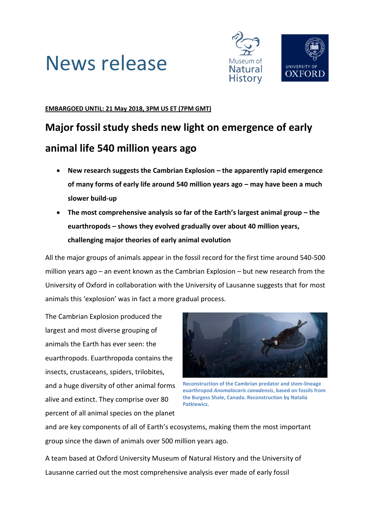# News release



### **EMBARGOED UNTIL: 21 May 2018, 3PM US ET (7PM GMT)**

### **Major fossil study sheds new light on emergence of early animal life 540 million years ago**

- **New research suggests the Cambrian Explosion – the apparently rapid emergence of many forms of early life around 540 million years ago – may have been a much slower build-up**
- **The most comprehensive analysis so far of the Earth's largest animal group – the euarthropods – shows they evolved gradually over about 40 million years, challenging major theories of early animal evolution**

All the major groups of animals appear in the fossil record for the first time around 540-500 million years ago – an event known as the Cambrian Explosion – but new research from the University of Oxford in collaboration with the University of Lausanne suggests that for most animals this 'explosion' was in fact a more gradual process.

The Cambrian Explosion produced the largest and most diverse grouping of animals the Earth has ever seen: the euarthropods. Euarthropoda contains the insects, crustaceans, spiders, trilobites, and a huge diversity of other animal forms alive and extinct. They comprise over 80 percent of all animal species on the planet



**Reconstruction of the Cambrian predator and stem-lineage euarthropod** *Anomalocaris canadensis***, based on fossils from the Burgess Shale, Canada. Reconstruction by Natalia Patkiewicz.**

and are key components of all of Earth's ecosystems, making them the most important group since the dawn of animals over 500 million years ago.

A team based at Oxford University Museum of Natural History and the University of Lausanne carried out the most comprehensive analysis ever made of early fossil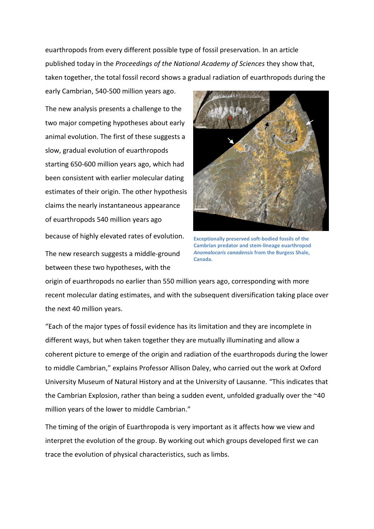euarthropods from every different possible type of fossil preservation. In an article published today in the *Proceedings of the National Academy of Sciences* they show that, taken together, the total fossil record shows a gradual radiation of euarthropods during the

The new analysis presents a challenge to the two major competing hypotheses about early animal evolution. The first of these suggests a slow, gradual evolution of euarthropods starting 650-600 million years ago, which had been consistent with earlier molecular dating estimates of their origin. The other hypothesis claims the nearly instantaneous appearance of euarthropods 540 million years ago

early Cambrian, 540-500 million years ago.

because of highly elevated rates of evolution.

The new research suggests a middle-ground between these two hypotheses, with the



**Exceptionally preserved soft-bodied fossils of the Cambrian predator and stem-lineage euarthropod**  *Anomalocaris canadensis* **from the Burgess Shale, Canada.**

origin of euarthropods no earlier than 550 million years ago, corresponding with more recent molecular dating estimates, and with the subsequent diversification taking place over the next 40 million years.

"Each of the major types of fossil evidence has its limitation and they are incomplete in different ways, but when taken together they are mutually illuminating and allow a coherent picture to emerge of the origin and radiation of the euarthropods during the lower to middle Cambrian," explains Professor Allison Daley, who carried out the work at Oxford University Museum of Natural History and at the University of Lausanne. "This indicates that the Cambrian Explosion, rather than being a sudden event, unfolded gradually over the ~40 million years of the lower to middle Cambrian."

The timing of the origin of Euarthropoda is very important as it affects how we view and interpret the evolution of the group. By working out which groups developed first we can trace the evolution of physical characteristics, such as limbs.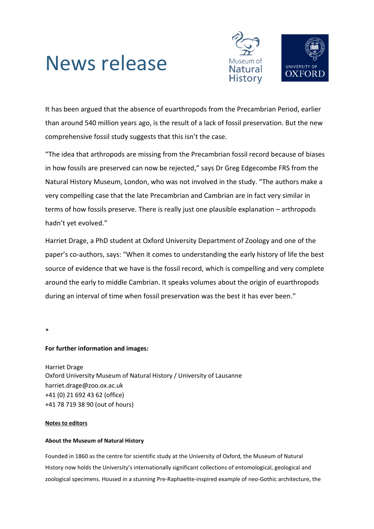## News release



It has been argued that the absence of euarthropods from the Precambrian Period, earlier than around 540 million years ago, is the result of a lack of fossil preservation. But the new comprehensive fossil study suggests that this isn't the case.

"The idea that arthropods are missing from the Precambrian fossil record because of biases in how fossils are preserved can now be rejected," says Dr Greg Edgecombe FRS from the Natural History Museum, London, who was not involved in the study. "The authors make a very compelling case that the late Precambrian and Cambrian are in fact very similar in terms of how fossils preserve. There is really just one plausible explanation – arthropods hadn't yet evolved."

Harriet Drage, a PhD student at Oxford University Department of Zoology and one of the paper's co-authors, says: "When it comes to understanding the early history of life the best source of evidence that we have is the fossil record, which is compelling and very complete around the early to middle Cambrian. It speaks volumes about the origin of euarthropods during an interval of time when fossil preservation was the best it has ever been."

\*

### **For further information and images:**

Harriet Drage Oxford University Museum of Natural History / University of Lausanne harriet.drage@zoo.ox.ac.uk +41 (0) 21 692 43 62 (office) +41 78 719 38 90 (out of hours)

#### **Notes to editors**

#### **About the Museum of Natural History**

Founded in 1860 as the centre for scientific study at the University of Oxford, the Museum of Natural History now holds the University's internationally significant collections of entomological, geological and zoological specimens. Housed in a stunning Pre-Raphaelite-inspired example of neo-Gothic architecture, the